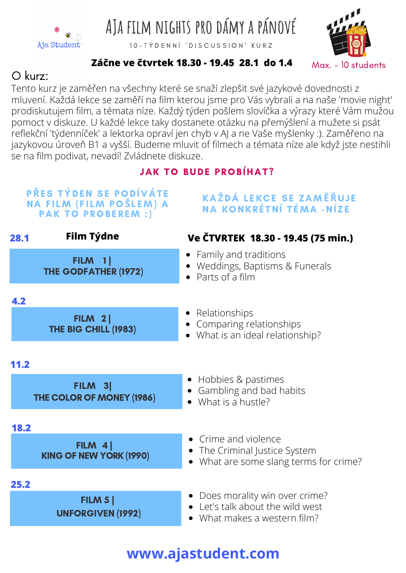

**AJa film nights pro dámy a pánové**

10 - TÝ DENNÍ 'DISCUSSION' KURZ



#### **Záčne ve čtvrtek 18.30 - 19.45 28.1 do 1.4**

### O kurz:

Tento kurz je zaměřen na všechny které se snaží zlepšit své jazykové dovednosti z mluvení. Každá lekce se zaměří na film kterou jsme pro Vás vybrali a na naše 'movie night' prodiskutujem film, a témata níze. Každý týden pošlem slovíčka a výrazy které Vám mužou pomoct v diskuze. U každé lekce taky dostanete otázku na přemýšlení a mužete si psát reflekční 'týdenníček' a lektorka opraví jen chyb v AJ a ne Vaše myšlenky :). Zaměřeno na jazykovou úroveň B1 a vyšší. Budeme mluvit of filmech a témata níze ale když jste nestihli se na film podivat, nevadí! Zvládnete diskuze.

### **JAK TO BUDE PROBÍHAT?**



## **www.ajastudent.com**